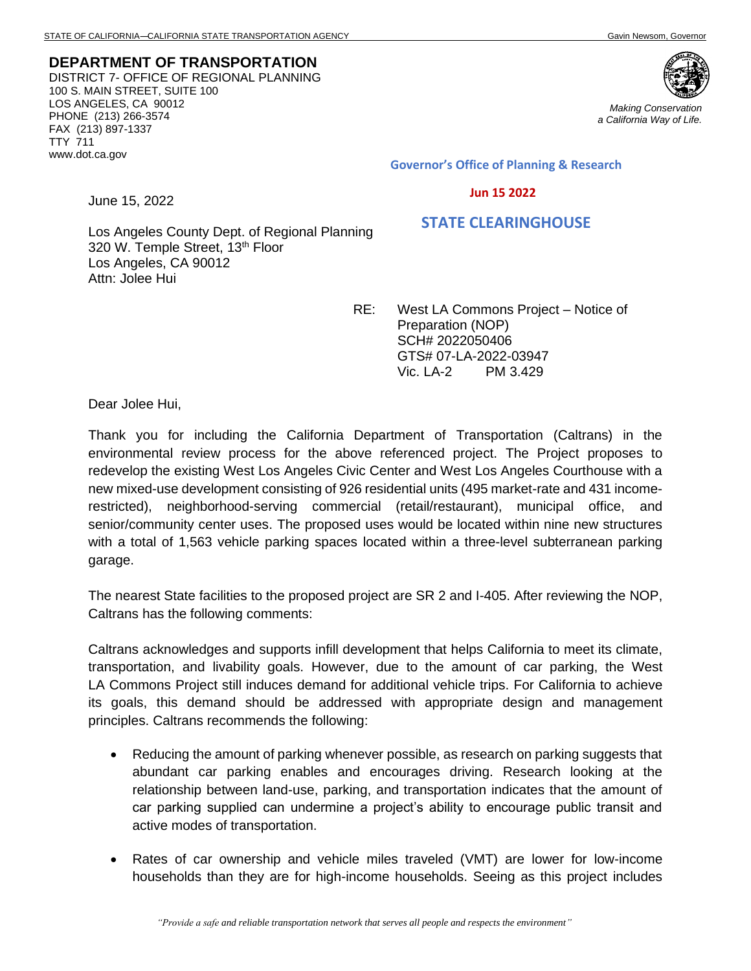**DEPARTMENT OF TRANSPORTATION** DISTRICT 7- OFFICE OF REGIONAL PLANNING 100 S. MAIN STREET, SUITE 100 LOS ANGELES, CA 90012 PHONE (213) 266-3574 FAX (213) 897-1337 TTY 711 www.dot.ca.gov



*Making Conservation a California Way of Life.*

**Governor's Office of Planning & Research**

## **Jun 15 2022**

## **STATE CLEARINGHOUSE**

Los Angeles County Dept. of Regional Planning 320 W. Temple Street, 13<sup>th</sup> Floor Los Angeles, CA 90012 Attn: Jolee Hui

> RE: West LA Commons Project – Notice of Preparation (NOP) SCH# 2022050406 GTS# 07-LA-2022-03947 Vic. LA-2 PM 3.429

Dear Jolee Hui,

June 15, 2022

Thank you for including the California Department of Transportation (Caltrans) in the environmental review process for the above referenced project. The Project proposes to redevelop the existing West Los Angeles Civic Center and West Los Angeles Courthouse with a new mixed-use development consisting of 926 residential units (495 market-rate and 431 incomerestricted), neighborhood-serving commercial (retail/restaurant), municipal office, and senior/community center uses. The proposed uses would be located within nine new structures with a total of 1,563 vehicle parking spaces located within a three-level subterranean parking garage.

The nearest State facilities to the proposed project are SR 2 and I-405. After reviewing the NOP, Caltrans has the following comments:

Caltrans acknowledges and supports infill development that helps California to meet its climate, transportation, and livability goals. However, due to the amount of car parking, the West LA Commons Project still induces demand for additional vehicle trips. For California to achieve its goals, this demand should be addressed with appropriate design and management principles. Caltrans recommends the following:

- Reducing the amount of parking whenever possible, as research on parking suggests that abundant car parking enables and encourages driving. Research looking at the relationship between land-use, parking, and transportation indicates that the amount of car parking supplied can undermine a project's ability to encourage public transit and active modes of transportation.
- Rates of car ownership and vehicle miles traveled (VMT) are lower for low-income households than they are for high-income households. Seeing as this project includes